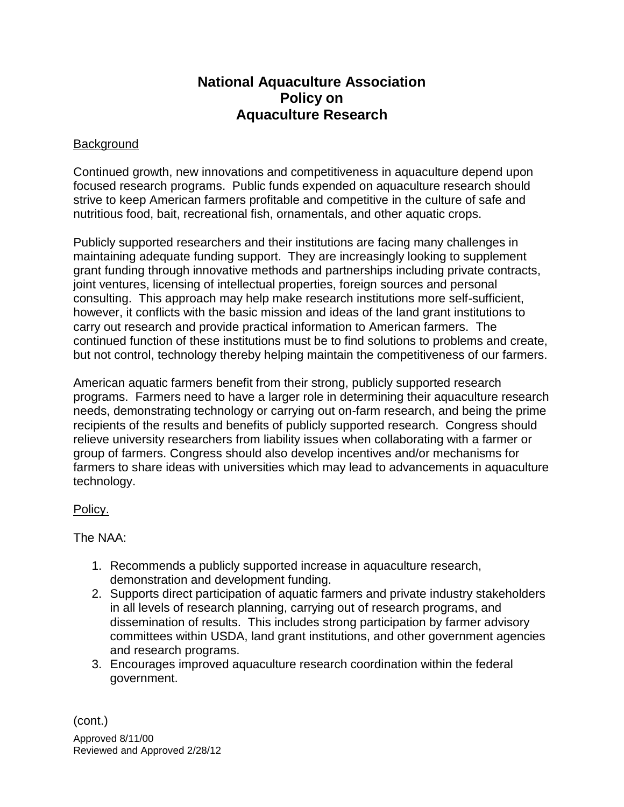## **National Aquaculture Association Policy on Aquaculture Research**

## **Background**

Continued growth, new innovations and competitiveness in aquaculture depend upon focused research programs. Public funds expended on aquaculture research should strive to keep American farmers profitable and competitive in the culture of safe and nutritious food, bait, recreational fish, ornamentals, and other aquatic crops.

Publicly supported researchers and their institutions are facing many challenges in maintaining adequate funding support. They are increasingly looking to supplement grant funding through innovative methods and partnerships including private contracts, joint ventures, licensing of intellectual properties, foreign sources and personal consulting. This approach may help make research institutions more self-sufficient, however, it conflicts with the basic mission and ideas of the land grant institutions to carry out research and provide practical information to American farmers. The continued function of these institutions must be to find solutions to problems and create, but not control, technology thereby helping maintain the competitiveness of our farmers.

American aquatic farmers benefit from their strong, publicly supported research programs. Farmers need to have a larger role in determining their aquaculture research needs, demonstrating technology or carrying out on-farm research, and being the prime recipients of the results and benefits of publicly supported research. Congress should relieve university researchers from liability issues when collaborating with a farmer or group of farmers. Congress should also develop incentives and/or mechanisms for farmers to share ideas with universities which may lead to advancements in aquaculture technology.

## Policy.

The NAA:

- 1. Recommends a publicly supported increase in aquaculture research, demonstration and development funding.
- 2. Supports direct participation of aquatic farmers and private industry stakeholders in all levels of research planning, carrying out of research programs, and dissemination of results. This includes strong participation by farmer advisory committees within USDA, land grant institutions, and other government agencies and research programs.
- 3. Encourages improved aquaculture research coordination within the federal government.

(cont.)

Approved 8/11/00 Reviewed and Approved 2/28/12